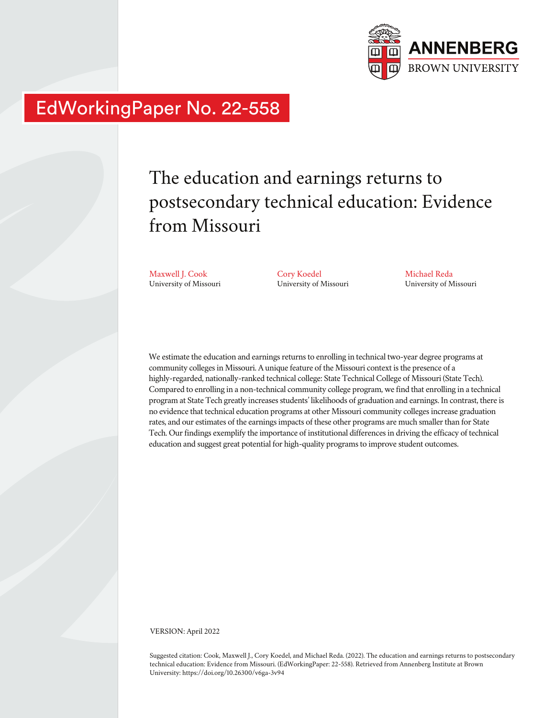

# EdWorkingPaper No. 22-558

# The education and earnings returns to postsecondary technical education: Evidence from Missouri

Maxwell J. Cook University of Missouri

Cory Koedel University of Missouri Michael Reda University of Missouri

We estimate the education and earnings returns to enrolling in technical two-year degree programs at community colleges in Missouri. A unique feature of the Missouri context is the presence of a highly-regarded, nationally-ranked technical college: State Technical College of Missouri (State Tech). Compared to enrolling in a non-technical community college program, we find that enrolling in a technical program at State Tech greatly increases students' likelihoods of graduation and earnings. In contrast, there is no evidence that technical education programs at other Missouri community colleges increase graduation rates, and our estimates of the earnings impacts of these other programs are much smaller than for State Tech. Our findings exemplify the importance of institutional differences in driving the efficacy of technical education and suggest great potential for high-quality programs to improve student outcomes.

VERSION: April 2022

Suggested citation: Cook, Maxwell J., Cory Koedel, and Michael Reda. (2022). The education and earnings returns to postsecondary technical education: Evidence from Missouri. (EdWorkingPaper: 22-558). Retrieved from Annenberg Institute at Brown University: https://doi.org/10.26300/v6ga-3v94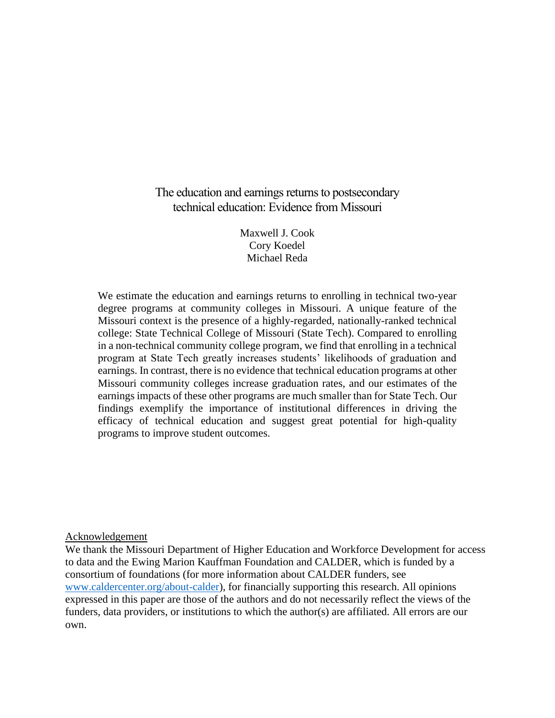The education and earnings returns to postsecondary technical education: Evidence from Missouri

> Maxwell J. Cook Cory Koedel Michael Reda

We estimate the education and earnings returns to enrolling in technical two-year degree programs at community colleges in Missouri. A unique feature of the Missouri context is the presence of a highly-regarded, nationally-ranked technical college: State Technical College of Missouri (State Tech). Compared to enrolling in a non-technical community college program, we find that enrolling in a technical program at State Tech greatly increases students' likelihoods of graduation and earnings. In contrast, there is no evidence that technical education programs at other Missouri community colleges increase graduation rates, and our estimates of the earnings impacts of these other programs are much smaller than for State Tech. Our findings exemplify the importance of institutional differences in driving the efficacy of technical education and suggest great potential for high-quality programs to improve student outcomes.

Acknowledgement

We thank the Missouri Department of Higher Education and Workforce Development for access to data and the Ewing Marion Kauffman Foundation and CALDER, which is funded by a consortium of foundations (for more information about CALDER funders, see [www.caldercenter.org/about-calder\)](http://www.caldercenter.org/about-calder), for financially supporting this research. All opinions expressed in this paper are those of the authors and do not necessarily reflect the views of the funders, data providers, or institutions to which the author(s) are affiliated. All errors are our own.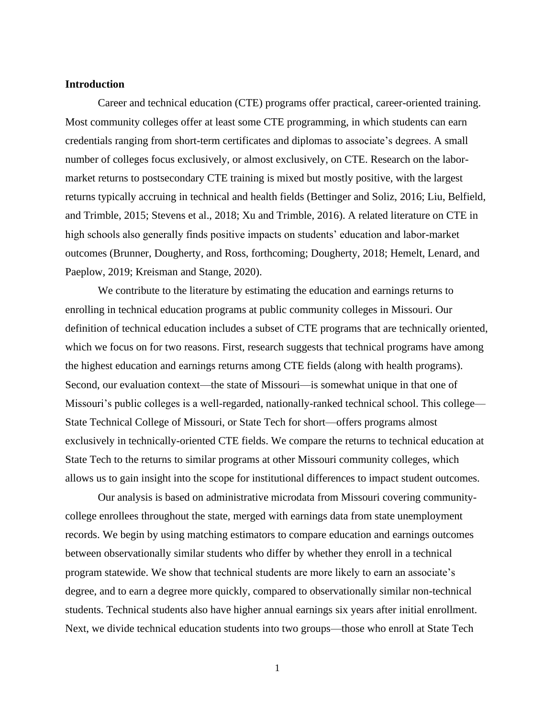#### **Introduction**

Career and technical education (CTE) programs offer practical, career-oriented training. Most community colleges offer at least some CTE programming, in which students can earn credentials ranging from short-term certificates and diplomas to associate's degrees. A small number of colleges focus exclusively, or almost exclusively, on CTE. Research on the labormarket returns to postsecondary CTE training is mixed but mostly positive, with the largest returns typically accruing in technical and health fields (Bettinger and Soliz, 2016; Liu, Belfield, and Trimble, 2015; Stevens et al., 2018; Xu and Trimble, 2016). A related literature on CTE in high schools also generally finds positive impacts on students' education and labor-market outcomes (Brunner, Dougherty, and Ross, forthcoming; Dougherty, 2018; Hemelt, Lenard, and Paeplow, 2019; Kreisman and Stange, 2020).

We contribute to the literature by estimating the education and earnings returns to enrolling in technical education programs at public community colleges in Missouri. Our definition of technical education includes a subset of CTE programs that are technically oriented, which we focus on for two reasons. First, research suggests that technical programs have among the highest education and earnings returns among CTE fields (along with health programs). Second, our evaluation context—the state of Missouri—is somewhat unique in that one of Missouri's public colleges is a well-regarded, nationally-ranked technical school. This college— State Technical College of Missouri, or State Tech for short—offers programs almost exclusively in technically-oriented CTE fields. We compare the returns to technical education at State Tech to the returns to similar programs at other Missouri community colleges, which allows us to gain insight into the scope for institutional differences to impact student outcomes.

Our analysis is based on administrative microdata from Missouri covering communitycollege enrollees throughout the state, merged with earnings data from state unemployment records. We begin by using matching estimators to compare education and earnings outcomes between observationally similar students who differ by whether they enroll in a technical program statewide. We show that technical students are more likely to earn an associate's degree, and to earn a degree more quickly, compared to observationally similar non-technical students. Technical students also have higher annual earnings six years after initial enrollment. Next, we divide technical education students into two groups—those who enroll at State Tech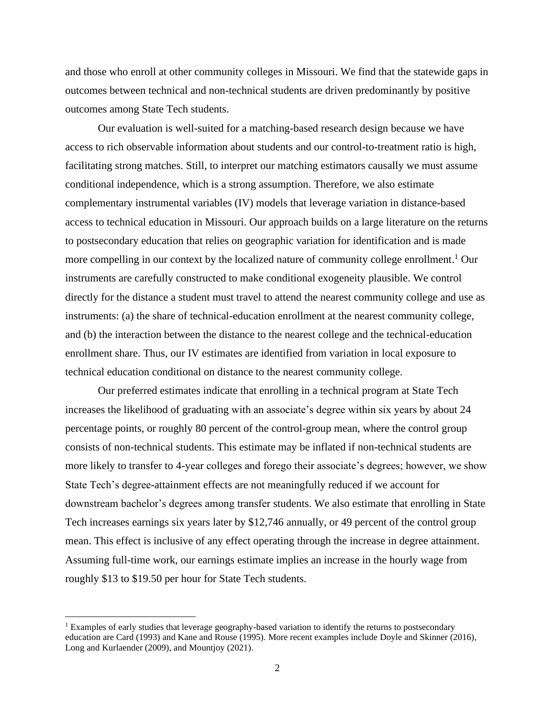and those who enroll at other community colleges in Missouri. We find that the statewide gaps in outcomes between technical and non-technical students are driven predominantly by positive outcomes among State Tech students.

Our evaluation is well-suited for a matching-based research design because we have access to rich observable information about students and our control-to-treatment ratio is high, facilitating strong matches. Still, to interpret our matching estimators causally we must assume conditional independence, which is a strong assumption. Therefore, we also estimate complementary instrumental variables (IV) models that leverage variation in distance-based access to technical education in Missouri. Our approach builds on a large literature on the returns to postsecondary education that relies on geographic variation for identification and is made more compelling in our context by the localized nature of community college enrollment.<sup>1</sup> Our instruments are carefully constructed to make conditional exogeneity plausible. We control directly for the distance a student must travel to attend the nearest community college and use as instruments: (a) the share of technical-education enrollment at the nearest community college, and (b) the interaction between the distance to the nearest college and the technical-education enrollment share. Thus, our IV estimates are identified from variation in local exposure to technical education conditional on distance to the nearest community college.

Our preferred estimates indicate that enrolling in a technical program at State Tech increases the likelihood of graduating with an associate's degree within six years by about 24 percentage points, or roughly 80 percent of the control-group mean, where the control group consists of non-technical students. This estimate may be inflated if non-technical students are more likely to transfer to 4-year colleges and forego their associate's degrees; however, we show State Tech's degree-attainment effects are not meaningfully reduced if we account for downstream bachelor's degrees among transfer students. We also estimate that enrolling in State Tech increases earnings six years later by \$12,746 annually, or 49 percent of the control group mean. This effect is inclusive of any effect operating through the increase in degree attainment. Assuming full-time work, our earnings estimate implies an increase in the hourly wage from roughly \$13 to \$19.50 per hour for State Tech students.

<sup>&</sup>lt;sup>1</sup> Examples of early studies that leverage geography-based variation to identify the returns to postsecondary education are Card (1993) and Kane and Rouse (1995). More recent examples include Doyle and Skinner (2016), Long and Kurlaender (2009), and Mountjoy (2021).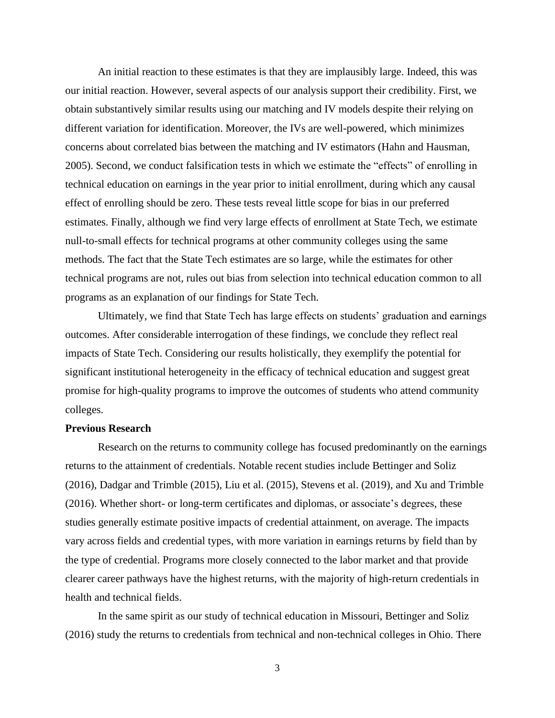An initial reaction to these estimates is that they are implausibly large. Indeed, this was our initial reaction. However, several aspects of our analysis support their credibility. First, we obtain substantively similar results using our matching and IV models despite their relying on different variation for identification. Moreover, the IVs are well-powered, which minimizes concerns about correlated bias between the matching and IV estimators (Hahn and Hausman, 2005). Second, we conduct falsification tests in which we estimate the "effects" of enrolling in technical education on earnings in the year prior to initial enrollment, during which any causal effect of enrolling should be zero. These tests reveal little scope for bias in our preferred estimates. Finally, although we find very large effects of enrollment at State Tech, we estimate null-to-small effects for technical programs at other community colleges using the same methods. The fact that the State Tech estimates are so large, while the estimates for other technical programs are not, rules out bias from selection into technical education common to all programs as an explanation of our findings for State Tech.

Ultimately, we find that State Tech has large effects on students' graduation and earnings outcomes. After considerable interrogation of these findings, we conclude they reflect real impacts of State Tech. Considering our results holistically, they exemplify the potential for significant institutional heterogeneity in the efficacy of technical education and suggest great promise for high-quality programs to improve the outcomes of students who attend community colleges.

#### **Previous Research**

Research on the returns to community college has focused predominantly on the earnings returns to the attainment of credentials. Notable recent studies include Bettinger and Soliz (2016), Dadgar and Trimble (2015), Liu et al. (2015), Stevens et al. (2019), and Xu and Trimble (2016). Whether short- or long-term certificates and diplomas, or associate's degrees, these studies generally estimate positive impacts of credential attainment, on average. The impacts vary across fields and credential types, with more variation in earnings returns by field than by the type of credential. Programs more closely connected to the labor market and that provide clearer career pathways have the highest returns, with the majority of high-return credentials in health and technical fields.

In the same spirit as our study of technical education in Missouri, Bettinger and Soliz (2016) study the returns to credentials from technical and non-technical colleges in Ohio. There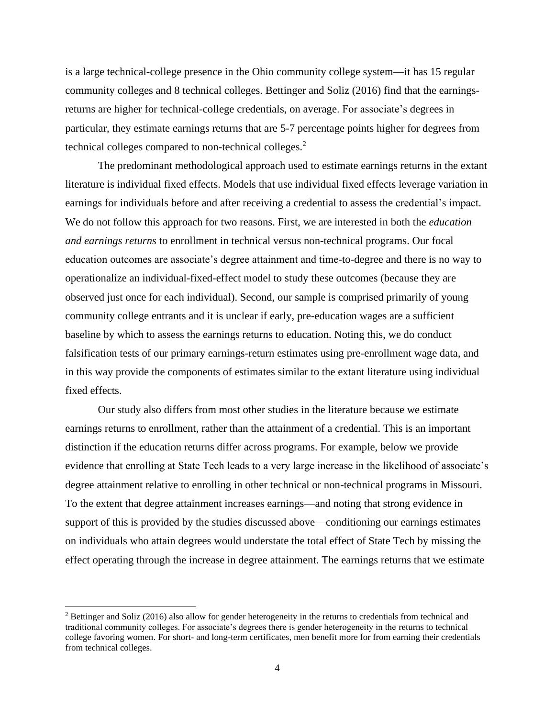is a large technical-college presence in the Ohio community college system—it has 15 regular community colleges and 8 technical colleges. Bettinger and Soliz (2016) find that the earningsreturns are higher for technical-college credentials, on average. For associate's degrees in particular, they estimate earnings returns that are 5-7 percentage points higher for degrees from technical colleges compared to non-technical colleges.<sup>2</sup>

The predominant methodological approach used to estimate earnings returns in the extant literature is individual fixed effects. Models that use individual fixed effects leverage variation in earnings for individuals before and after receiving a credential to assess the credential's impact. We do not follow this approach for two reasons. First, we are interested in both the *education and earnings returns* to enrollment in technical versus non-technical programs. Our focal education outcomes are associate's degree attainment and time-to-degree and there is no way to operationalize an individual-fixed-effect model to study these outcomes (because they are observed just once for each individual). Second, our sample is comprised primarily of young community college entrants and it is unclear if early, pre-education wages are a sufficient baseline by which to assess the earnings returns to education. Noting this, we do conduct falsification tests of our primary earnings-return estimates using pre-enrollment wage data, and in this way provide the components of estimates similar to the extant literature using individual fixed effects.

Our study also differs from most other studies in the literature because we estimate earnings returns to enrollment, rather than the attainment of a credential. This is an important distinction if the education returns differ across programs. For example, below we provide evidence that enrolling at State Tech leads to a very large increase in the likelihood of associate's degree attainment relative to enrolling in other technical or non-technical programs in Missouri. To the extent that degree attainment increases earnings—and noting that strong evidence in support of this is provided by the studies discussed above—conditioning our earnings estimates on individuals who attain degrees would understate the total effect of State Tech by missing the effect operating through the increase in degree attainment. The earnings returns that we estimate

<sup>&</sup>lt;sup>2</sup> Bettinger and Soliz (2016) also allow for gender heterogeneity in the returns to credentials from technical and traditional community colleges. For associate's degrees there is gender heterogeneity in the returns to technical college favoring women. For short- and long-term certificates, men benefit more for from earning their credentials from technical colleges.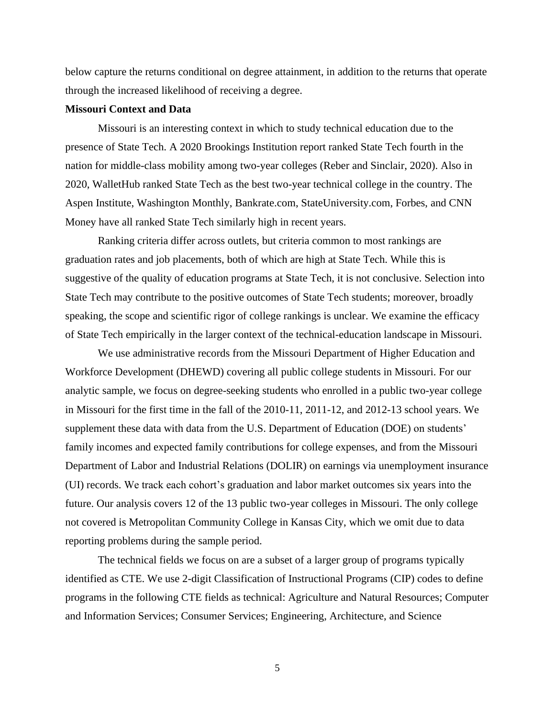below capture the returns conditional on degree attainment, in addition to the returns that operate through the increased likelihood of receiving a degree.

#### **Missouri Context and Data**

Missouri is an interesting context in which to study technical education due to the presence of State Tech. A 2020 Brookings Institution report ranked State Tech fourth in the nation for middle-class mobility among two-year colleges (Reber and Sinclair, 2020). Also in 2020, WalletHub ranked State Tech as the best two-year technical college in the country. The Aspen Institute, Washington Monthly, Bankrate.com, StateUniversity.com, Forbes, and CNN Money have all ranked State Tech similarly high in recent years.

Ranking criteria differ across outlets, but criteria common to most rankings are graduation rates and job placements, both of which are high at State Tech. While this is suggestive of the quality of education programs at State Tech, it is not conclusive. Selection into State Tech may contribute to the positive outcomes of State Tech students; moreover, broadly speaking, the scope and scientific rigor of college rankings is unclear. We examine the efficacy of State Tech empirically in the larger context of the technical-education landscape in Missouri.

We use administrative records from the Missouri Department of Higher Education and Workforce Development (DHEWD) covering all public college students in Missouri. For our analytic sample, we focus on degree-seeking students who enrolled in a public two-year college in Missouri for the first time in the fall of the 2010-11, 2011-12, and 2012-13 school years. We supplement these data with data from the U.S. Department of Education (DOE) on students' family incomes and expected family contributions for college expenses, and from the Missouri Department of Labor and Industrial Relations (DOLIR) on earnings via unemployment insurance (UI) records. We track each cohort's graduation and labor market outcomes six years into the future. Our analysis covers 12 of the 13 public two-year colleges in Missouri. The only college not covered is Metropolitan Community College in Kansas City, which we omit due to data reporting problems during the sample period.

The technical fields we focus on are a subset of a larger group of programs typically identified as CTE. We use 2-digit Classification of Instructional Programs (CIP) codes to define programs in the following CTE fields as technical: Agriculture and Natural Resources; Computer and Information Services; Consumer Services; Engineering, Architecture, and Science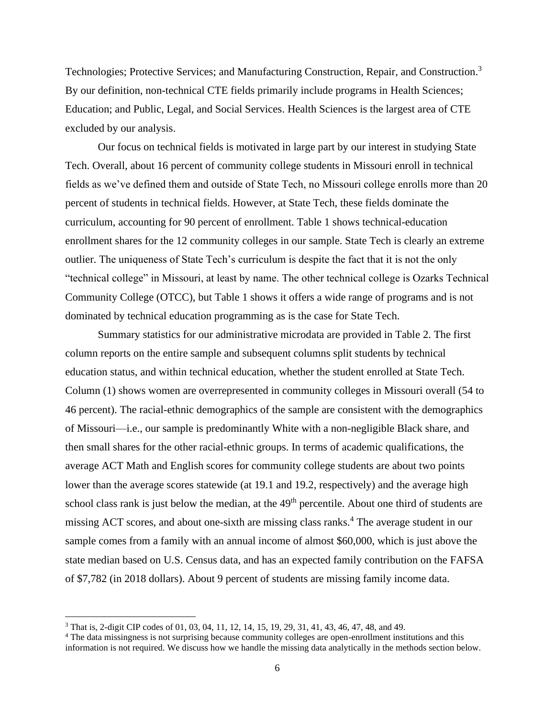Technologies; Protective Services; and Manufacturing Construction, Repair, and Construction.<sup>3</sup> By our definition, non-technical CTE fields primarily include programs in Health Sciences; Education; and Public, Legal, and Social Services. Health Sciences is the largest area of CTE excluded by our analysis.

Our focus on technical fields is motivated in large part by our interest in studying State Tech. Overall, about 16 percent of community college students in Missouri enroll in technical fields as we've defined them and outside of State Tech, no Missouri college enrolls more than 20 percent of students in technical fields. However, at State Tech, these fields dominate the curriculum, accounting for 90 percent of enrollment. Table 1 shows technical-education enrollment shares for the 12 community colleges in our sample. State Tech is clearly an extreme outlier. The uniqueness of State Tech's curriculum is despite the fact that it is not the only "technical college" in Missouri, at least by name. The other technical college is Ozarks Technical Community College (OTCC), but Table 1 shows it offers a wide range of programs and is not dominated by technical education programming as is the case for State Tech.

Summary statistics for our administrative microdata are provided in Table 2. The first column reports on the entire sample and subsequent columns split students by technical education status, and within technical education, whether the student enrolled at State Tech. Column (1) shows women are overrepresented in community colleges in Missouri overall (54 to 46 percent). The racial-ethnic demographics of the sample are consistent with the demographics of Missouri—i.e., our sample is predominantly White with a non-negligible Black share, and then small shares for the other racial-ethnic groups. In terms of academic qualifications, the average ACT Math and English scores for community college students are about two points lower than the average scores statewide (at 19.1 and 19.2, respectively) and the average high school class rank is just below the median, at the 49<sup>th</sup> percentile. About one third of students are missing ACT scores, and about one-sixth are missing class ranks.<sup>4</sup> The average student in our sample comes from a family with an annual income of almost \$60,000, which is just above the state median based on U.S. Census data, and has an expected family contribution on the FAFSA of \$7,782 (in 2018 dollars). About 9 percent of students are missing family income data.

<sup>3</sup> That is, 2-digit CIP codes of 01, 03, 04, 11, 12, 14, 15, 19, 29, 31, 41, 43, 46, 47, 48, and 49.

<sup>4</sup> The data missingness is not surprising because community colleges are open-enrollment institutions and this information is not required. We discuss how we handle the missing data analytically in the methods section below.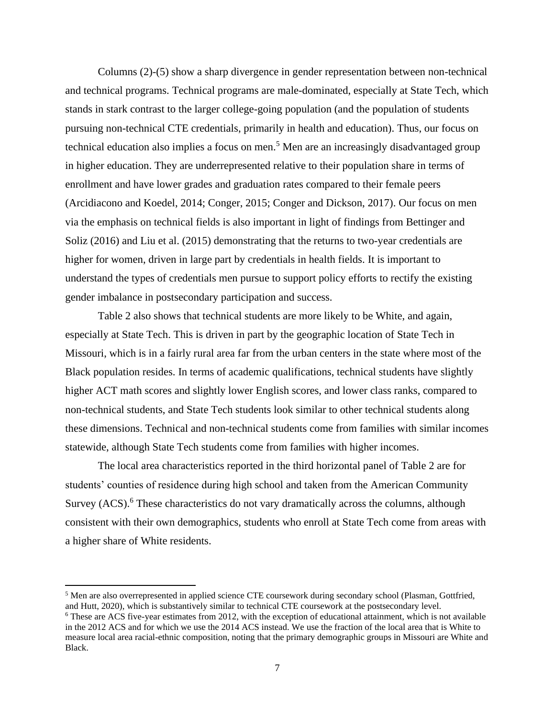Columns (2)-(5) show a sharp divergence in gender representation between non-technical and technical programs. Technical programs are male-dominated, especially at State Tech, which stands in stark contrast to the larger college-going population (and the population of students pursuing non-technical CTE credentials, primarily in health and education). Thus, our focus on technical education also implies a focus on men.<sup>5</sup> Men are an increasingly disadvantaged group in higher education. They are underrepresented relative to their population share in terms of enrollment and have lower grades and graduation rates compared to their female peers (Arcidiacono and Koedel, 2014; Conger, 2015; Conger and Dickson, 2017). Our focus on men via the emphasis on technical fields is also important in light of findings from Bettinger and Soliz (2016) and Liu et al. (2015) demonstrating that the returns to two-year credentials are higher for women, driven in large part by credentials in health fields. It is important to understand the types of credentials men pursue to support policy efforts to rectify the existing gender imbalance in postsecondary participation and success.

Table 2 also shows that technical students are more likely to be White, and again, especially at State Tech. This is driven in part by the geographic location of State Tech in Missouri, which is in a fairly rural area far from the urban centers in the state where most of the Black population resides. In terms of academic qualifications, technical students have slightly higher ACT math scores and slightly lower English scores, and lower class ranks, compared to non-technical students, and State Tech students look similar to other technical students along these dimensions. Technical and non-technical students come from families with similar incomes statewide, although State Tech students come from families with higher incomes.

The local area characteristics reported in the third horizontal panel of Table 2 are for students' counties of residence during high school and taken from the American Community Survey (ACS).<sup>6</sup> These characteristics do not vary dramatically across the columns, although consistent with their own demographics, students who enroll at State Tech come from areas with a higher share of White residents.

<sup>&</sup>lt;sup>5</sup> Men are also overrepresented in applied science CTE coursework during secondary school (Plasman, Gottfried, and Hutt, 2020), which is substantively similar to technical CTE coursework at the postsecondary level.

<sup>6</sup> These are ACS five-year estimates from 2012, with the exception of educational attainment, which is not available in the 2012 ACS and for which we use the 2014 ACS instead. We use the fraction of the local area that is White to measure local area racial-ethnic composition, noting that the primary demographic groups in Missouri are White and Black.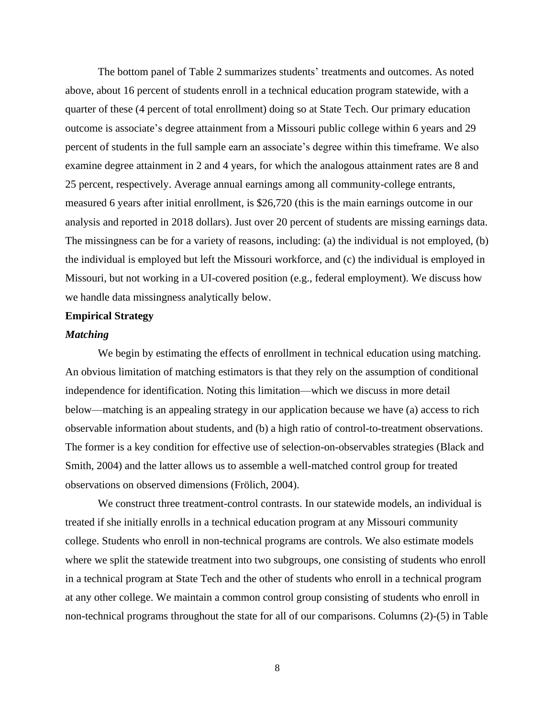The bottom panel of Table 2 summarizes students' treatments and outcomes. As noted above, about 16 percent of students enroll in a technical education program statewide, with a quarter of these (4 percent of total enrollment) doing so at State Tech. Our primary education outcome is associate's degree attainment from a Missouri public college within 6 years and 29 percent of students in the full sample earn an associate's degree within this timeframe. We also examine degree attainment in 2 and 4 years, for which the analogous attainment rates are 8 and 25 percent, respectively. Average annual earnings among all community-college entrants, measured 6 years after initial enrollment, is \$26,720 (this is the main earnings outcome in our analysis and reported in 2018 dollars). Just over 20 percent of students are missing earnings data. The missingness can be for a variety of reasons, including: (a) the individual is not employed, (b) the individual is employed but left the Missouri workforce, and (c) the individual is employed in Missouri, but not working in a UI-covered position (e.g., federal employment). We discuss how we handle data missingness analytically below.

#### **Empirical Strategy**

#### *Matching*

We begin by estimating the effects of enrollment in technical education using matching. An obvious limitation of matching estimators is that they rely on the assumption of conditional independence for identification. Noting this limitation—which we discuss in more detail below—matching is an appealing strategy in our application because we have (a) access to rich observable information about students, and (b) a high ratio of control-to-treatment observations. The former is a key condition for effective use of selection-on-observables strategies (Black and Smith, 2004) and the latter allows us to assemble a well-matched control group for treated observations on observed dimensions (Frölich, 2004).

We construct three treatment-control contrasts. In our statewide models, an individual is treated if she initially enrolls in a technical education program at any Missouri community college. Students who enroll in non-technical programs are controls. We also estimate models where we split the statewide treatment into two subgroups, one consisting of students who enroll in a technical program at State Tech and the other of students who enroll in a technical program at any other college. We maintain a common control group consisting of students who enroll in non-technical programs throughout the state for all of our comparisons. Columns (2)-(5) in Table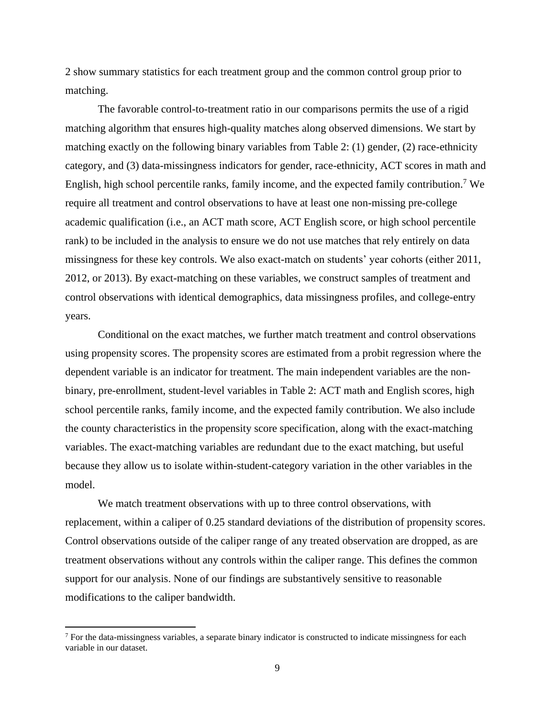2 show summary statistics for each treatment group and the common control group prior to matching.

The favorable control-to-treatment ratio in our comparisons permits the use of a rigid matching algorithm that ensures high-quality matches along observed dimensions. We start by matching exactly on the following binary variables from Table 2: (1) gender, (2) race-ethnicity category, and (3) data-missingness indicators for gender, race-ethnicity, ACT scores in math and English, high school percentile ranks, family income, and the expected family contribution.<sup>7</sup> We require all treatment and control observations to have at least one non-missing pre-college academic qualification (i.e., an ACT math score, ACT English score, or high school percentile rank) to be included in the analysis to ensure we do not use matches that rely entirely on data missingness for these key controls. We also exact-match on students' year cohorts (either 2011, 2012, or 2013). By exact-matching on these variables, we construct samples of treatment and control observations with identical demographics, data missingness profiles, and college-entry years.

Conditional on the exact matches, we further match treatment and control observations using propensity scores. The propensity scores are estimated from a probit regression where the dependent variable is an indicator for treatment. The main independent variables are the nonbinary, pre-enrollment, student-level variables in Table 2: ACT math and English scores, high school percentile ranks, family income, and the expected family contribution. We also include the county characteristics in the propensity score specification, along with the exact-matching variables. The exact-matching variables are redundant due to the exact matching, but useful because they allow us to isolate within-student-category variation in the other variables in the model.

We match treatment observations with up to three control observations, with replacement, within a caliper of 0.25 standard deviations of the distribution of propensity scores. Control observations outside of the caliper range of any treated observation are dropped, as are treatment observations without any controls within the caliper range. This defines the common support for our analysis. None of our findings are substantively sensitive to reasonable modifications to the caliper bandwidth.

<sup>7</sup> For the data-missingness variables, a separate binary indicator is constructed to indicate missingness for each variable in our dataset.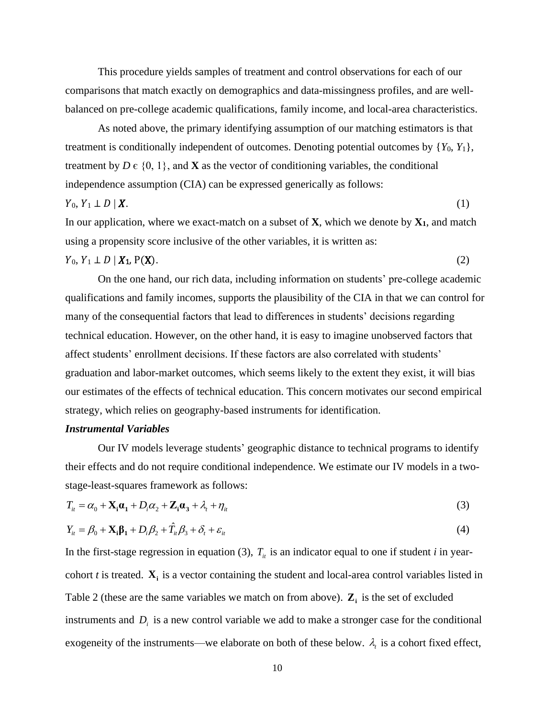This procedure yields samples of treatment and control observations for each of our comparisons that match exactly on demographics and data-missingness profiles, and are wellbalanced on pre-college academic qualifications, family income, and local-area characteristics.

As noted above, the primary identifying assumption of our matching estimators is that treatment is conditionally independent of outcomes. Denoting potential outcomes by  ${Y_0, Y_1}$ , treatment by  $D \in \{0, 1\}$ , and **X** as the vector of conditioning variables, the conditional independence assumption (CIA) can be expressed generically as follows:

$$
Y_0, Y_1 \perp D \mid \boldsymbol{X}.\tag{1}
$$

In our application, where we exact-match on a subset of **X***,* which we denote by **X1**, and match using a propensity score inclusive of the other variables, it is written as:

 $Y_0, Y_1 \perp D \mid X_1, P(X).$  (2)

On the one hand, our rich data, including information on students' pre-college academic qualifications and family incomes, supports the plausibility of the CIA in that we can control for many of the consequential factors that lead to differences in students' decisions regarding technical education. However, on the other hand, it is easy to imagine unobserved factors that affect students' enrollment decisions. If these factors are also correlated with students' graduation and labor-market outcomes, which seems likely to the extent they exist, it will bias our estimates of the effects of technical education. This concern motivates our second empirical strategy, which relies on geography-based instruments for identification.

#### *Instrumental Variables*

Our IV models leverage students' geographic distance to technical programs to identify their effects and do not require conditional independence. We estimate our IV models in a twostage-least-squares framework as follows:

$$
T_{it} = \alpha_0 + \mathbf{X}_i \mathbf{a}_1 + D_i \alpha_2 + \mathbf{Z}_i \mathbf{a}_3 + \lambda_t + \eta_{it}
$$
\n<sup>(3)</sup>

$$
Y_{it} = \beta_0 + \mathbf{X}_i \mathbf{\beta}_1 + D_i \beta_2 + T_{it} \beta_3 + \delta_t + \varepsilon_{it}
$$
\n<sup>(4)</sup>

In the first-stage regression in equation (3),  $T_i$  is an indicator equal to one if student *i* in yearcohort  $t$  is treated.  $\mathbf{X}_i$  is a vector containing the student and local-area control variables listed in Table 2 (these are the same variables we match on from above).  $\mathbf{Z}_i$  is the set of excluded instruments and  $D_i$  is a new control variable we add to make a stronger case for the conditional exogeneity of the instruments—we elaborate on both of these below.  $\lambda_i$  is a cohort fixed effect,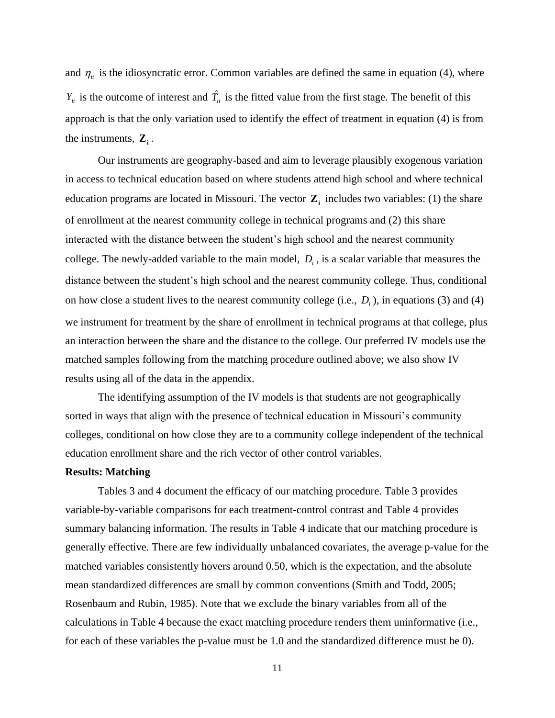and  $\eta_{it}$  is the idiosyncratic error. Common variables are defined the same in equation (4), where  $Y_{it}$  is the outcome of interest and  $\hat{T}_{it}$  is the fitted value from the first stage. The benefit of this approach is that the only variation used to identify the effect of treatment in equation (4) is from the instruments,  $\mathbf{Z}_i$ .

Our instruments are geography-based and aim to leverage plausibly exogenous variation in access to technical education based on where students attend high school and where technical education programs are located in Missouri. The vector  $Z_i$  includes two variables: (1) the share of enrollment at the nearest community college in technical programs and (2) this share interacted with the distance between the student's high school and the nearest community college. The newly-added variable to the main model,  $D_i$ , is a scalar variable that measures the distance between the student's high school and the nearest community college. Thus, conditional on how close a student lives to the nearest community college (i.e.,  $D_i$ ), in equations (3) and (4) we instrument for treatment by the share of enrollment in technical programs at that college, plus an interaction between the share and the distance to the college. Our preferred IV models use the matched samples following from the matching procedure outlined above; we also show IV results using all of the data in the appendix.

The identifying assumption of the IV models is that students are not geographically sorted in ways that align with the presence of technical education in Missouri's community colleges, conditional on how close they are to a community college independent of the technical education enrollment share and the rich vector of other control variables.

#### **Results: Matching**

Tables 3 and 4 document the efficacy of our matching procedure. Table 3 provides variable-by-variable comparisons for each treatment-control contrast and Table 4 provides summary balancing information. The results in Table 4 indicate that our matching procedure is generally effective. There are few individually unbalanced covariates, the average p-value for the matched variables consistently hovers around 0.50, which is the expectation, and the absolute mean standardized differences are small by common conventions (Smith and Todd, 2005; Rosenbaum and Rubin, 1985). Note that we exclude the binary variables from all of the calculations in Table 4 because the exact matching procedure renders them uninformative (i.e., for each of these variables the p-value must be 1.0 and the standardized difference must be 0).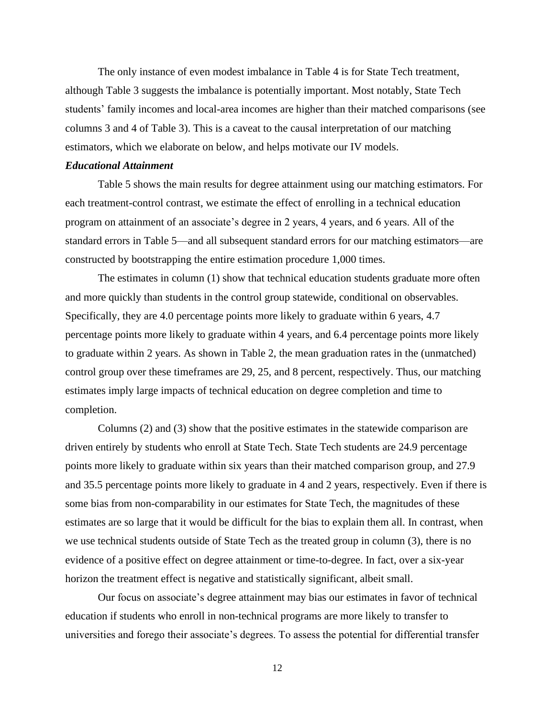The only instance of even modest imbalance in Table 4 is for State Tech treatment, although Table 3 suggests the imbalance is potentially important. Most notably, State Tech students' family incomes and local-area incomes are higher than their matched comparisons (see columns 3 and 4 of Table 3). This is a caveat to the causal interpretation of our matching estimators, which we elaborate on below, and helps motivate our IV models.

#### *Educational Attainment*

Table 5 shows the main results for degree attainment using our matching estimators. For each treatment-control contrast, we estimate the effect of enrolling in a technical education program on attainment of an associate's degree in 2 years, 4 years, and 6 years. All of the standard errors in Table 5—and all subsequent standard errors for our matching estimators—are constructed by bootstrapping the entire estimation procedure 1,000 times.

The estimates in column (1) show that technical education students graduate more often and more quickly than students in the control group statewide, conditional on observables. Specifically, they are 4.0 percentage points more likely to graduate within 6 years, 4.7 percentage points more likely to graduate within 4 years, and 6.4 percentage points more likely to graduate within 2 years. As shown in Table 2, the mean graduation rates in the (unmatched) control group over these timeframes are 29, 25, and 8 percent, respectively. Thus, our matching estimates imply large impacts of technical education on degree completion and time to completion.

Columns (2) and (3) show that the positive estimates in the statewide comparison are driven entirely by students who enroll at State Tech. State Tech students are 24.9 percentage points more likely to graduate within six years than their matched comparison group, and 27.9 and 35.5 percentage points more likely to graduate in 4 and 2 years, respectively. Even if there is some bias from non-comparability in our estimates for State Tech, the magnitudes of these estimates are so large that it would be difficult for the bias to explain them all. In contrast, when we use technical students outside of State Tech as the treated group in column (3), there is no evidence of a positive effect on degree attainment or time-to-degree. In fact, over a six-year horizon the treatment effect is negative and statistically significant, albeit small.

Our focus on associate's degree attainment may bias our estimates in favor of technical education if students who enroll in non-technical programs are more likely to transfer to universities and forego their associate's degrees. To assess the potential for differential transfer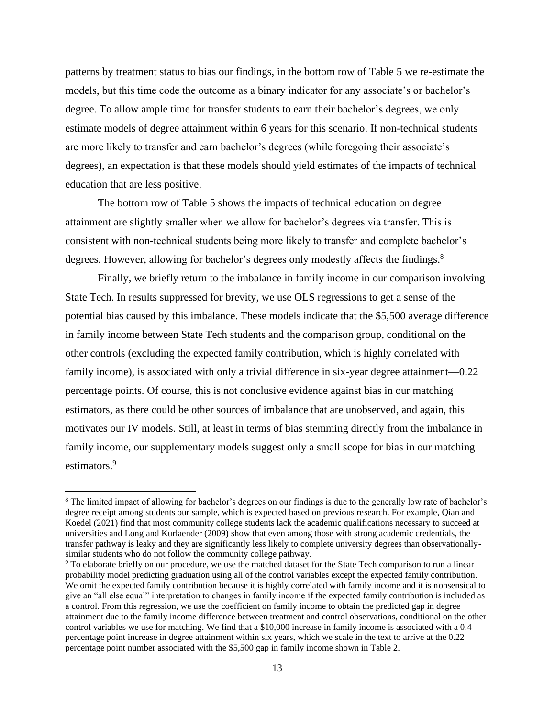patterns by treatment status to bias our findings, in the bottom row of Table 5 we re-estimate the models, but this time code the outcome as a binary indicator for any associate's or bachelor's degree. To allow ample time for transfer students to earn their bachelor's degrees, we only estimate models of degree attainment within 6 years for this scenario. If non-technical students are more likely to transfer and earn bachelor's degrees (while foregoing their associate's degrees), an expectation is that these models should yield estimates of the impacts of technical education that are less positive.

The bottom row of Table 5 shows the impacts of technical education on degree attainment are slightly smaller when we allow for bachelor's degrees via transfer. This is consistent with non-technical students being more likely to transfer and complete bachelor's degrees. However, allowing for bachelor's degrees only modestly affects the findings.<sup>8</sup>

Finally, we briefly return to the imbalance in family income in our comparison involving State Tech. In results suppressed for brevity, we use OLS regressions to get a sense of the potential bias caused by this imbalance. These models indicate that the \$5,500 average difference in family income between State Tech students and the comparison group, conditional on the other controls (excluding the expected family contribution, which is highly correlated with family income), is associated with only a trivial difference in six-year degree attainment—0.22 percentage points. Of course, this is not conclusive evidence against bias in our matching estimators, as there could be other sources of imbalance that are unobserved, and again, this motivates our IV models. Still, at least in terms of bias stemming directly from the imbalance in family income, our supplementary models suggest only a small scope for bias in our matching estimators. 9

<sup>&</sup>lt;sup>8</sup> The limited impact of allowing for bachelor's degrees on our findings is due to the generally low rate of bachelor's degree receipt among students our sample, which is expected based on previous research. For example, Qian and Koedel (2021) find that most community college students lack the academic qualifications necessary to succeed at universities and Long and Kurlaender (2009) show that even among those with strong academic credentials, the transfer pathway is leaky and they are significantly less likely to complete university degrees than observationallysimilar students who do not follow the community college pathway.

<sup>&</sup>lt;sup>9</sup> To elaborate briefly on our procedure, we use the matched dataset for the State Tech comparison to run a linear probability model predicting graduation using all of the control variables except the expected family contribution. We omit the expected family contribution because it is highly correlated with family income and it is nonsensical to give an "all else equal" interpretation to changes in family income if the expected family contribution is included as a control. From this regression, we use the coefficient on family income to obtain the predicted gap in degree attainment due to the family income difference between treatment and control observations, conditional on the other control variables we use for matching. We find that a \$10,000 increase in family income is associated with a 0.4 percentage point increase in degree attainment within six years, which we scale in the text to arrive at the 0.22 percentage point number associated with the \$5,500 gap in family income shown in Table 2.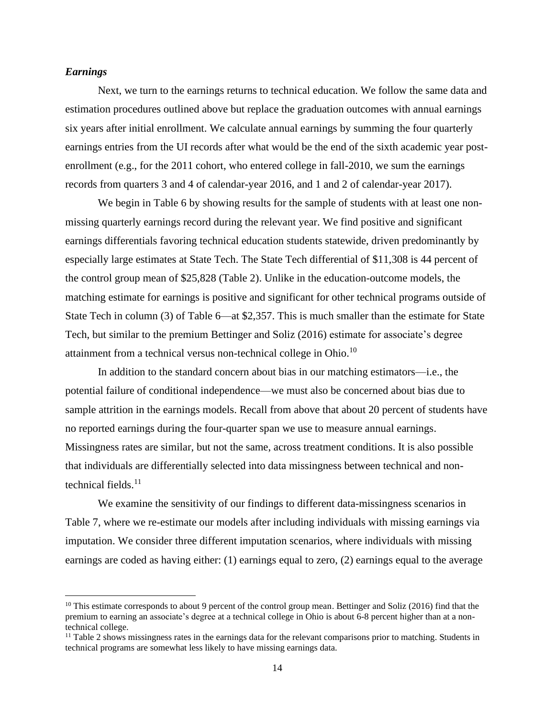#### *Earnings*

Next, we turn to the earnings returns to technical education. We follow the same data and estimation procedures outlined above but replace the graduation outcomes with annual earnings six years after initial enrollment. We calculate annual earnings by summing the four quarterly earnings entries from the UI records after what would be the end of the sixth academic year postenrollment (e.g., for the 2011 cohort, who entered college in fall-2010, we sum the earnings records from quarters 3 and 4 of calendar-year 2016, and 1 and 2 of calendar-year 2017).

We begin in Table 6 by showing results for the sample of students with at least one nonmissing quarterly earnings record during the relevant year. We find positive and significant earnings differentials favoring technical education students statewide, driven predominantly by especially large estimates at State Tech. The State Tech differential of \$11,308 is 44 percent of the control group mean of \$25,828 (Table 2). Unlike in the education-outcome models, the matching estimate for earnings is positive and significant for other technical programs outside of State Tech in column (3) of Table 6—at \$2,357. This is much smaller than the estimate for State Tech, but similar to the premium Bettinger and Soliz (2016) estimate for associate's degree attainment from a technical versus non-technical college in Ohio.<sup>10</sup>

In addition to the standard concern about bias in our matching estimators—i.e., the potential failure of conditional independence—we must also be concerned about bias due to sample attrition in the earnings models. Recall from above that about 20 percent of students have no reported earnings during the four-quarter span we use to measure annual earnings. Missingness rates are similar, but not the same, across treatment conditions. It is also possible that individuals are differentially selected into data missingness between technical and nontechnical fields. $11$ 

We examine the sensitivity of our findings to different data-missingness scenarios in Table 7, where we re-estimate our models after including individuals with missing earnings via imputation. We consider three different imputation scenarios, where individuals with missing earnings are coded as having either: (1) earnings equal to zero, (2) earnings equal to the average

<sup>&</sup>lt;sup>10</sup> This estimate corresponds to about 9 percent of the control group mean. Bettinger and Soliz (2016) find that the premium to earning an associate's degree at a technical college in Ohio is about 6-8 percent higher than at a nontechnical college.

 $11$  Table 2 shows missingness rates in the earnings data for the relevant comparisons prior to matching. Students in technical programs are somewhat less likely to have missing earnings data.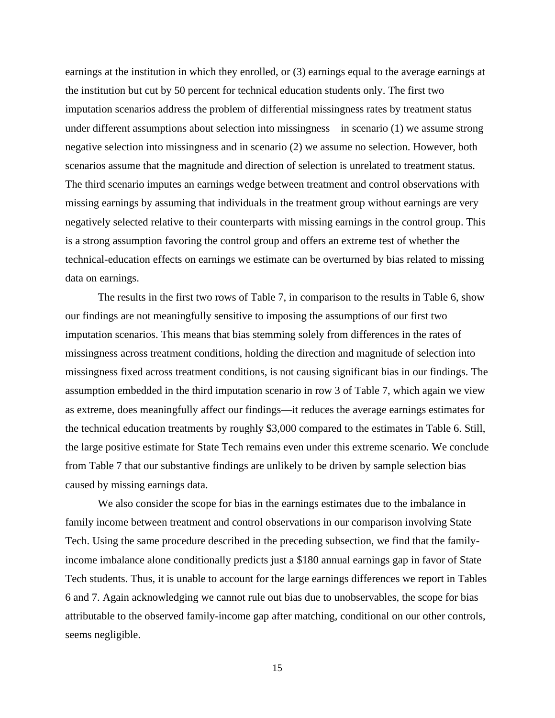earnings at the institution in which they enrolled, or (3) earnings equal to the average earnings at the institution but cut by 50 percent for technical education students only. The first two imputation scenarios address the problem of differential missingness rates by treatment status under different assumptions about selection into missingness—in scenario (1) we assume strong negative selection into missingness and in scenario (2) we assume no selection. However, both scenarios assume that the magnitude and direction of selection is unrelated to treatment status. The third scenario imputes an earnings wedge between treatment and control observations with missing earnings by assuming that individuals in the treatment group without earnings are very negatively selected relative to their counterparts with missing earnings in the control group. This is a strong assumption favoring the control group and offers an extreme test of whether the technical-education effects on earnings we estimate can be overturned by bias related to missing data on earnings.

The results in the first two rows of Table 7, in comparison to the results in Table 6, show our findings are not meaningfully sensitive to imposing the assumptions of our first two imputation scenarios. This means that bias stemming solely from differences in the rates of missingness across treatment conditions, holding the direction and magnitude of selection into missingness fixed across treatment conditions, is not causing significant bias in our findings. The assumption embedded in the third imputation scenario in row 3 of Table 7, which again we view as extreme, does meaningfully affect our findings—it reduces the average earnings estimates for the technical education treatments by roughly \$3,000 compared to the estimates in Table 6. Still, the large positive estimate for State Tech remains even under this extreme scenario. We conclude from Table 7 that our substantive findings are unlikely to be driven by sample selection bias caused by missing earnings data.

We also consider the scope for bias in the earnings estimates due to the imbalance in family income between treatment and control observations in our comparison involving State Tech. Using the same procedure described in the preceding subsection, we find that the familyincome imbalance alone conditionally predicts just a \$180 annual earnings gap in favor of State Tech students. Thus, it is unable to account for the large earnings differences we report in Tables 6 and 7. Again acknowledging we cannot rule out bias due to unobservables, the scope for bias attributable to the observed family-income gap after matching, conditional on our other controls, seems negligible.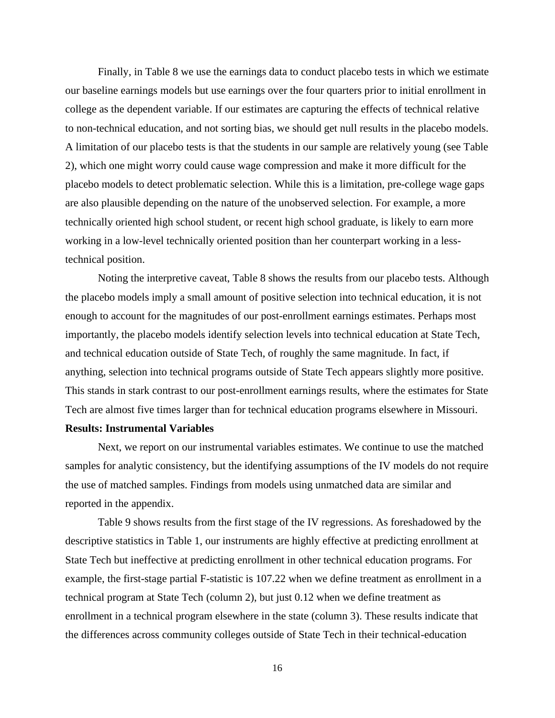Finally, in Table 8 we use the earnings data to conduct placebo tests in which we estimate our baseline earnings models but use earnings over the four quarters prior to initial enrollment in college as the dependent variable. If our estimates are capturing the effects of technical relative to non-technical education, and not sorting bias, we should get null results in the placebo models. A limitation of our placebo tests is that the students in our sample are relatively young (see Table 2), which one might worry could cause wage compression and make it more difficult for the placebo models to detect problematic selection. While this is a limitation, pre-college wage gaps are also plausible depending on the nature of the unobserved selection. For example, a more technically oriented high school student, or recent high school graduate, is likely to earn more working in a low-level technically oriented position than her counterpart working in a lesstechnical position.

Noting the interpretive caveat, Table 8 shows the results from our placebo tests. Although the placebo models imply a small amount of positive selection into technical education, it is not enough to account for the magnitudes of our post-enrollment earnings estimates. Perhaps most importantly, the placebo models identify selection levels into technical education at State Tech, and technical education outside of State Tech, of roughly the same magnitude. In fact, if anything, selection into technical programs outside of State Tech appears slightly more positive. This stands in stark contrast to our post-enrollment earnings results, where the estimates for State Tech are almost five times larger than for technical education programs elsewhere in Missouri.

#### **Results: Instrumental Variables**

Next, we report on our instrumental variables estimates. We continue to use the matched samples for analytic consistency, but the identifying assumptions of the IV models do not require the use of matched samples. Findings from models using unmatched data are similar and reported in the appendix.

Table 9 shows results from the first stage of the IV regressions. As foreshadowed by the descriptive statistics in Table 1, our instruments are highly effective at predicting enrollment at State Tech but ineffective at predicting enrollment in other technical education programs. For example, the first-stage partial F-statistic is 107.22 when we define treatment as enrollment in a technical program at State Tech (column 2), but just 0.12 when we define treatment as enrollment in a technical program elsewhere in the state (column 3). These results indicate that the differences across community colleges outside of State Tech in their technical-education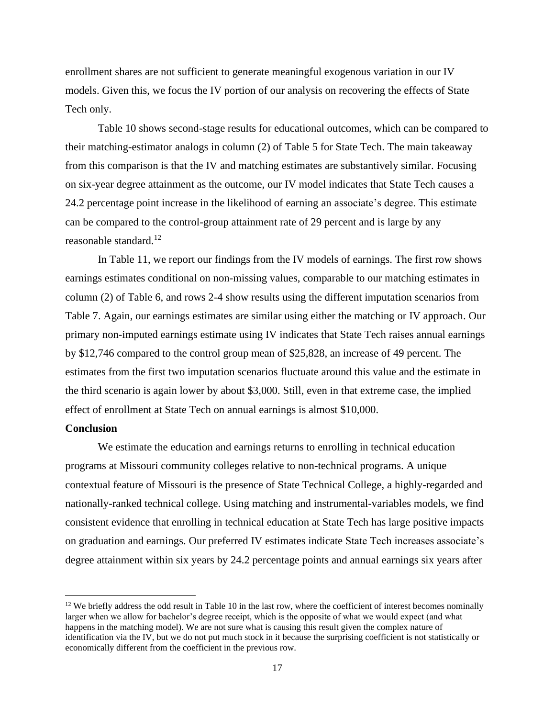enrollment shares are not sufficient to generate meaningful exogenous variation in our IV models. Given this, we focus the IV portion of our analysis on recovering the effects of State Tech only.

Table 10 shows second-stage results for educational outcomes, which can be compared to their matching-estimator analogs in column (2) of Table 5 for State Tech. The main takeaway from this comparison is that the IV and matching estimates are substantively similar. Focusing on six-year degree attainment as the outcome, our IV model indicates that State Tech causes a 24.2 percentage point increase in the likelihood of earning an associate's degree. This estimate can be compared to the control-group attainment rate of 29 percent and is large by any reasonable standard.<sup>12</sup>

In Table 11, we report our findings from the IV models of earnings. The first row shows earnings estimates conditional on non-missing values, comparable to our matching estimates in column (2) of Table 6, and rows 2-4 show results using the different imputation scenarios from Table 7. Again, our earnings estimates are similar using either the matching or IV approach. Our primary non-imputed earnings estimate using IV indicates that State Tech raises annual earnings by \$12,746 compared to the control group mean of \$25,828, an increase of 49 percent. The estimates from the first two imputation scenarios fluctuate around this value and the estimate in the third scenario is again lower by about \$3,000. Still, even in that extreme case, the implied effect of enrollment at State Tech on annual earnings is almost \$10,000.

#### **Conclusion**

We estimate the education and earnings returns to enrolling in technical education programs at Missouri community colleges relative to non-technical programs. A unique contextual feature of Missouri is the presence of State Technical College, a highly-regarded and nationally-ranked technical college. Using matching and instrumental-variables models, we find consistent evidence that enrolling in technical education at State Tech has large positive impacts on graduation and earnings. Our preferred IV estimates indicate State Tech increases associate's degree attainment within six years by 24.2 percentage points and annual earnings six years after

 $12$  We briefly address the odd result in Table 10 in the last row, where the coefficient of interest becomes nominally larger when we allow for bachelor's degree receipt, which is the opposite of what we would expect (and what happens in the matching model). We are not sure what is causing this result given the complex nature of identification via the IV, but we do not put much stock in it because the surprising coefficient is not statistically or economically different from the coefficient in the previous row.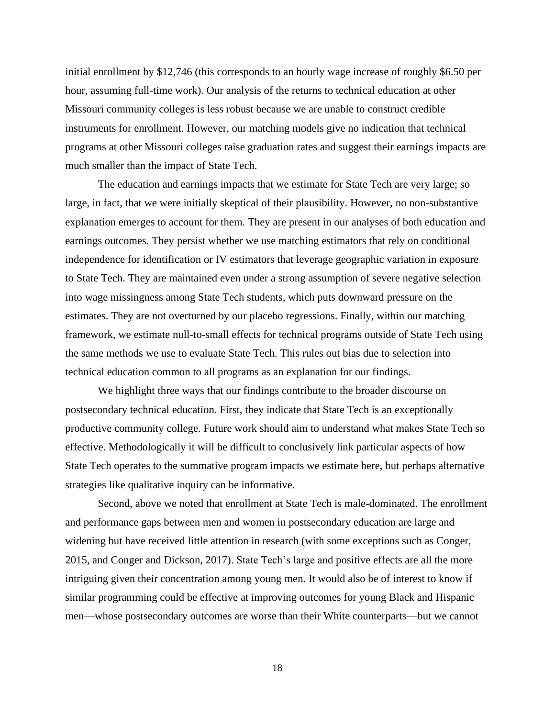initial enrollment by \$12,746 (this corresponds to an hourly wage increase of roughly \$6.50 per hour, assuming full-time work). Our analysis of the returns to technical education at other Missouri community colleges is less robust because we are unable to construct credible instruments for enrollment. However, our matching models give no indication that technical programs at other Missouri colleges raise graduation rates and suggest their earnings impacts are much smaller than the impact of State Tech.

The education and earnings impacts that we estimate for State Tech are very large; so large, in fact, that we were initially skeptical of their plausibility. However, no non-substantive explanation emerges to account for them. They are present in our analyses of both education and earnings outcomes. They persist whether we use matching estimators that rely on conditional independence for identification or IV estimators that leverage geographic variation in exposure to State Tech. They are maintained even under a strong assumption of severe negative selection into wage missingness among State Tech students, which puts downward pressure on the estimates. They are not overturned by our placebo regressions. Finally, within our matching framework, we estimate null-to-small effects for technical programs outside of State Tech using the same methods we use to evaluate State Tech. This rules out bias due to selection into technical education common to all programs as an explanation for our findings.

We highlight three ways that our findings contribute to the broader discourse on postsecondary technical education. First, they indicate that State Tech is an exceptionally productive community college. Future work should aim to understand what makes State Tech so effective. Methodologically it will be difficult to conclusively link particular aspects of how State Tech operates to the summative program impacts we estimate here, but perhaps alternative strategies like qualitative inquiry can be informative.

Second, above we noted that enrollment at State Tech is male-dominated. The enrollment and performance gaps between men and women in postsecondary education are large and widening but have received little attention in research (with some exceptions such as Conger, 2015, and Conger and Dickson, 2017). State Tech's large and positive effects are all the more intriguing given their concentration among young men. It would also be of interest to know if similar programming could be effective at improving outcomes for young Black and Hispanic men—whose postsecondary outcomes are worse than their White counterparts—but we cannot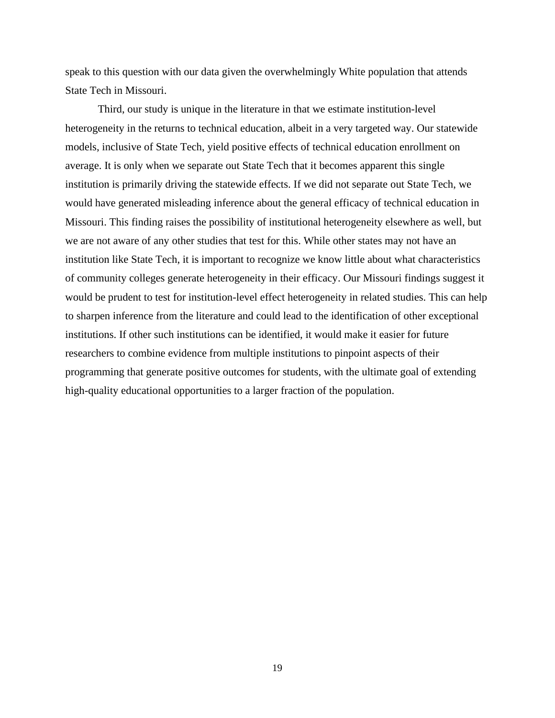speak to this question with our data given the overwhelmingly White population that attends State Tech in Missouri.

Third, our study is unique in the literature in that we estimate institution-level heterogeneity in the returns to technical education, albeit in a very targeted way. Our statewide models, inclusive of State Tech, yield positive effects of technical education enrollment on average. It is only when we separate out State Tech that it becomes apparent this single institution is primarily driving the statewide effects. If we did not separate out State Tech, we would have generated misleading inference about the general efficacy of technical education in Missouri. This finding raises the possibility of institutional heterogeneity elsewhere as well, but we are not aware of any other studies that test for this. While other states may not have an institution like State Tech, it is important to recognize we know little about what characteristics of community colleges generate heterogeneity in their efficacy. Our Missouri findings suggest it would be prudent to test for institution-level effect heterogeneity in related studies. This can help to sharpen inference from the literature and could lead to the identification of other exceptional institutions. If other such institutions can be identified, it would make it easier for future researchers to combine evidence from multiple institutions to pinpoint aspects of their programming that generate positive outcomes for students, with the ultimate goal of extending high-quality educational opportunities to a larger fraction of the population.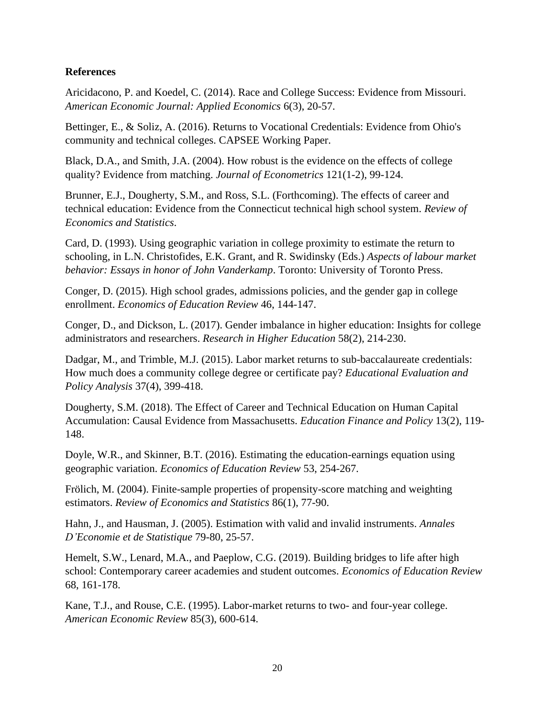# **References**

Aricidacono, P. and Koedel, C. (2014). Race and College Success: Evidence from Missouri. *American Economic Journal: Applied Economics* 6(3), 20-57.

Bettinger, E., & Soliz, A. (2016). Returns to Vocational Credentials: Evidence from Ohio's community and technical colleges. CAPSEE Working Paper.

Black, D.A., and Smith, J.A. (2004). How robust is the evidence on the effects of college quality? Evidence from matching. *Journal of Econometrics* 121(1-2), 99-124.

Brunner, E.J., Dougherty, S.M., and Ross, S.L. (Forthcoming). The effects of career and technical education: Evidence from the Connecticut technical high school system. *Review of Economics and Statistics*.

Card, D. (1993). Using geographic variation in college proximity to estimate the return to schooling, in L.N. Christofides, E.K. Grant, and R. Swidinsky (Eds.) *Aspects of labour market behavior: Essays in honor of John Vanderkamp*. Toronto: University of Toronto Press.

Conger, D. (2015). High school grades, admissions policies, and the gender gap in college enrollment. *Economics of Education Review* 46, 144-147.

Conger, D., and Dickson, L. (2017). Gender imbalance in higher education: Insights for college administrators and researchers. *Research in Higher Education* 58(2), 214-230.

Dadgar, M., and Trimble, M.J. (2015). Labor market returns to sub-baccalaureate credentials: How much does a community college degree or certificate pay? *Educational Evaluation and Policy Analysis* 37(4), 399-418.

Dougherty, S.M. (2018). The Effect of Career and Technical Education on Human Capital Accumulation: Causal Evidence from Massachusetts. *Education Finance and Policy* 13(2), 119- 148.

Doyle, W.R., and Skinner, B.T. (2016). Estimating the education-earnings equation using geographic variation. *Economics of Education Review* 53, 254-267.

Frölich, M. (2004). Finite-sample properties of propensity-score matching and weighting estimators. *Review of Economics and Statistics* 86(1), 77-90.

Hahn, J., and Hausman, J. (2005). Estimation with valid and invalid instruments. *Annales D'Economie et de Statistique* 79-80, 25-57.

Hemelt, S.W., Lenard, M.A., and Paeplow, C.G. (2019). Building bridges to life after high school: Contemporary career academies and student outcomes. *Economics of Education Review* 68, 161-178.

Kane, T.J., and Rouse, C.E. (1995). Labor-market returns to two- and four-year college. *American Economic Review* 85(3), 600-614.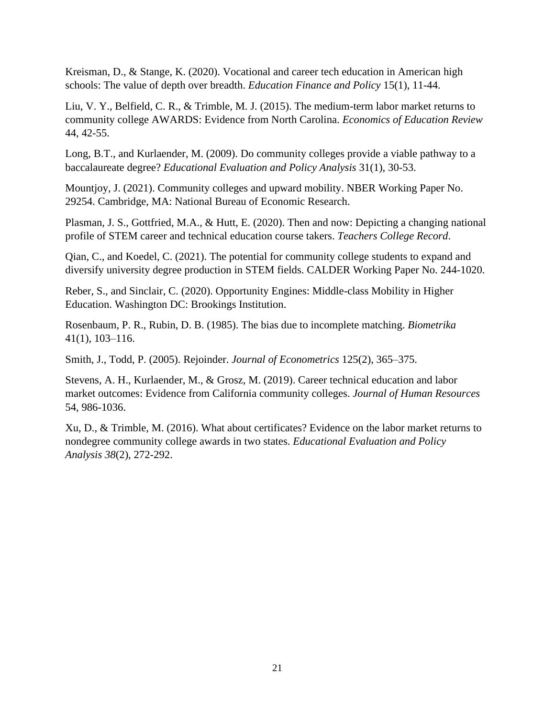Kreisman, D., & Stange, K. (2020). Vocational and career tech education in American high schools: The value of depth over breadth. *Education Finance and Policy* 15(1), 11-44.

Liu, V. Y., Belfield, C. R., & Trimble, M. J. (2015). The medium-term labor market returns to community college AWARDS: Evidence from North Carolina. *Economics of Education Review* 44, 42-55.

Long, B.T., and Kurlaender, M. (2009). Do community colleges provide a viable pathway to a baccalaureate degree? *Educational Evaluation and Policy Analysis* 31(1), 30-53.

Mountjoy, J. (2021). Community colleges and upward mobility. NBER Working Paper No. 29254. Cambridge, MA: National Bureau of Economic Research.

Plasman, J. S., Gottfried, M.A., & Hutt, E. (2020). Then and now: Depicting a changing national profile of STEM career and technical education course takers. *Teachers College Record*.

Qian, C., and Koedel, C. (2021). The potential for community college students to expand and diversify university degree production in STEM fields. CALDER Working Paper No. 244-1020.

Reber, S., and Sinclair, C. (2020). Opportunity Engines: Middle-class Mobility in Higher Education. Washington DC: Brookings Institution.

Rosenbaum, P. R., Rubin, D. B. (1985). The bias due to incomplete matching. *Biometrika* 41(1), 103–116.

Smith, J., Todd, P. (2005). Rejoinder. *Journal of Econometrics* 125(2), 365–375.

Stevens, A. H., Kurlaender, M., & Grosz, M. (2019). Career technical education and labor market outcomes: Evidence from California community colleges. *Journal of Human Resources* 54, 986-1036.

Xu, D., & Trimble, M. (2016). What about certificates? Evidence on the labor market returns to nondegree community college awards in two states. *Educational Evaluation and Policy Analysis 38*(2), 272-292.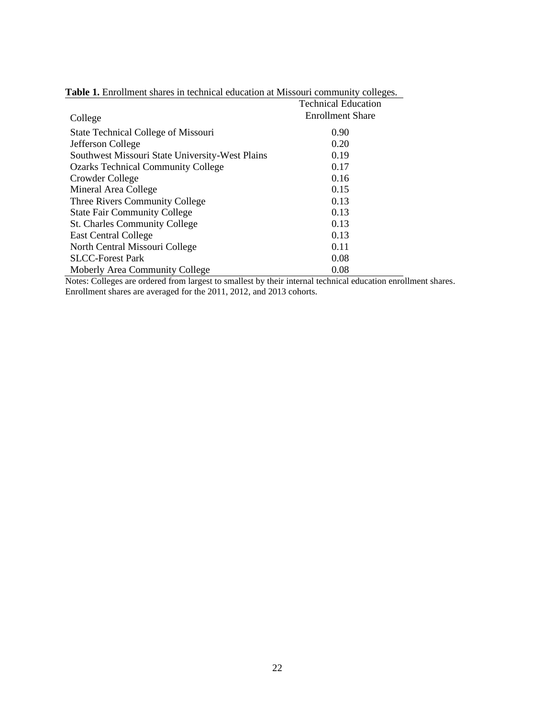|                                                 | <b>Technical Education</b> |
|-------------------------------------------------|----------------------------|
| College                                         | <b>Enrollment Share</b>    |
| State Technical College of Missouri             | 0.90                       |
| Jefferson College                               | 0.20                       |
| Southwest Missouri State University-West Plains | 0.19                       |
| <b>Ozarks Technical Community College</b>       | 0.17                       |
| Crowder College                                 | 0.16                       |
| Mineral Area College                            | 0.15                       |
| Three Rivers Community College                  | 0.13                       |
| <b>State Fair Community College</b>             | 0.13                       |
| <b>St. Charles Community College</b>            | 0.13                       |
| <b>East Central College</b>                     | 0.13                       |
| North Central Missouri College                  | 0.11                       |
| <b>SLCC-Forest Park</b>                         | 0.08                       |
| Moberly Area Community College                  | 0.08                       |

# **Table 1.** Enrollment shares in technical education at Missouri community colleges.

Notes: Colleges are ordered from largest to smallest by their internal technical education enrollment shares. Enrollment shares are averaged for the 2011, 2012, and 2013 cohorts.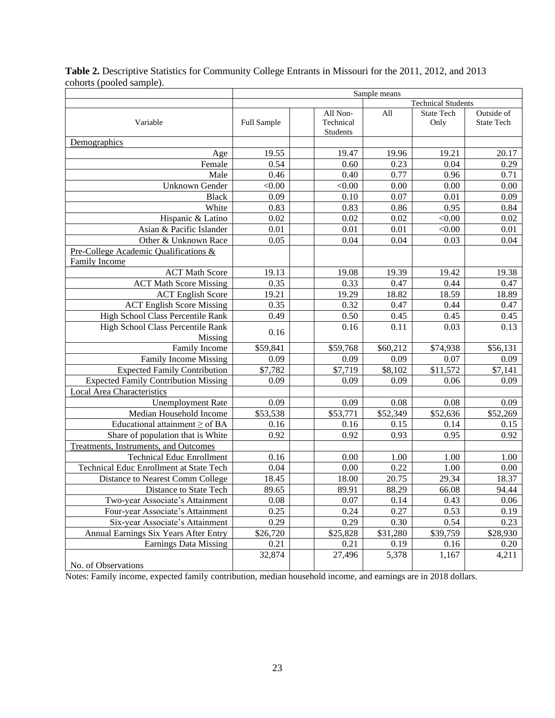|                                              | Sample means              |  |                                   |          |                    |                                 |
|----------------------------------------------|---------------------------|--|-----------------------------------|----------|--------------------|---------------------------------|
|                                              | <b>Technical Students</b> |  |                                   |          |                    |                                 |
| Variable                                     | Full Sample               |  | All Non-<br>Technical<br>Students | All      | State Tech<br>Only | Outside of<br><b>State Tech</b> |
| Demographics                                 |                           |  |                                   |          |                    |                                 |
| Age                                          | 19.55                     |  | 19.47                             | 19.96    | 19.21              | 20.17                           |
| Female                                       | 0.54                      |  | 0.60                              | 0.23     | 0.04               | 0.29                            |
| Male                                         | 0.46                      |  | 0.40                              | 0.77     | 0.96               | 0.71                            |
| Unknown Gender                               | < 0.00                    |  | < 0.00                            | 0.00     | 0.00               | 0.00                            |
| <b>Black</b>                                 | 0.09                      |  | 0.10                              | 0.07     | 0.01               | 0.09                            |
| White                                        | 0.83                      |  | 0.83                              | 0.86     | 0.95               | 0.84                            |
| Hispanic & Latino                            | 0.02                      |  | 0.02                              | 0.02     | < 0.00             | 0.02                            |
| Asian & Pacific Islander                     | 0.01                      |  | 0.01                              | 0.01     | < 0.00             | 0.01                            |
| Other & Unknown Race                         | 0.05                      |  | 0.04                              | 0.04     | 0.03               | 0.04                            |
| Pre-College Academic Qualifications &        |                           |  |                                   |          |                    |                                 |
| Family Income                                |                           |  |                                   |          |                    |                                 |
| <b>ACT Math Score</b>                        | 19.13                     |  | 19.08                             | 19.39    | 19.42              | 19.38                           |
| <b>ACT Math Score Missing</b>                | 0.35                      |  | 0.33                              | 0.47     | 0.44               | 0.47                            |
| <b>ACT English Score</b>                     | 19.21                     |  | 19.29                             | 18.82    | 18.59              | 18.89                           |
| <b>ACT English Score Missing</b>             | 0.35                      |  | 0.32                              | 0.47     | 0.44               | 0.47                            |
| High School Class Percentile Rank            | 0.49                      |  | 0.50                              | 0.45     | 0.45               | 0.45                            |
| High School Class Percentile Rank<br>Missing | 0.16                      |  | 0.16                              | 0.11     | 0.03               | 0.13                            |
| Family Income                                | \$59,841                  |  | \$59,768                          | \$60,212 | \$74,938           | \$56,131                        |
| Family Income Missing                        | 0.09                      |  | 0.09                              | 0.09     | 0.07               | 0.09                            |
| <b>Expected Family Contribution</b>          | \$7,782                   |  | \$7,719                           | \$8,102  | \$11,572           | \$7,141                         |
| <b>Expected Family Contribution Missing</b>  | 0.09                      |  | 0.09                              | 0.09     | 0.06               | 0.09                            |
| Local Area Characteristics                   |                           |  |                                   |          |                    |                                 |
| <b>Unemployment Rate</b>                     | 0.09                      |  | 0.09                              | 0.08     | 0.08               | 0.09                            |
| Median Household Income                      | \$53,538                  |  | \$53,771                          | \$52,349 | \$52,636           | \$52,269                        |
| Educational attainment $\geq$ of BA          | 0.16                      |  | $0.16\,$                          | 0.15     | 0.14               | 0.15                            |
| Share of population that is White            | 0.92                      |  | 0.92                              | 0.93     | 0.95               | 0.92                            |
| Treatments, Instruments, and Outcomes        |                           |  |                                   |          |                    |                                 |
| <b>Technical Educ Enrollment</b>             | 0.16                      |  | 0.00                              | 1.00     | 1.00               | 1.00                            |
| Technical Educ Enrollment at State Tech      | 0.04                      |  | 0.00                              | 0.22     | 1.00               | 0.00                            |
| Distance to Nearest Comm College             | 18.45                     |  | 18.00                             | 20.75    | 29.34              | 18.37                           |
| Distance to State Tech                       | 89.65                     |  | 89.91                             | 88.29    | 66.08              | 94.44                           |
| Two-year Associate's Attainment              | 0.08                      |  | 0.07                              | 0.14     | 0.43               | 0.06                            |
| Four-year Associate's Attainment             | 0.25                      |  | 0.24                              | 0.27     | 0.53               | 0.19                            |
| Six-year Associate's Attainment              | 0.29                      |  | 0.29                              | 0.30     | 0.54               | 0.23                            |
| Annual Earnings Six Years After Entry        | \$26,720                  |  | \$25,828                          | \$31,280 | \$39,759           | \$28,930                        |
| Earnings Data Missing                        | 0.21                      |  | 0.21                              | 0.19     | 0.16               | 0.20                            |
|                                              | 32,874                    |  | 27,496                            | 5,378    | 1,167              | 4,211                           |
| No. of Observations                          |                           |  |                                   |          |                    |                                 |

**Table 2.** Descriptive Statistics for Community College Entrants in Missouri for the 2011, 2012, and 2013 cohorts (pooled sample).

Notes: Family income, expected family contribution, median household income, and earnings are in 2018 dollars.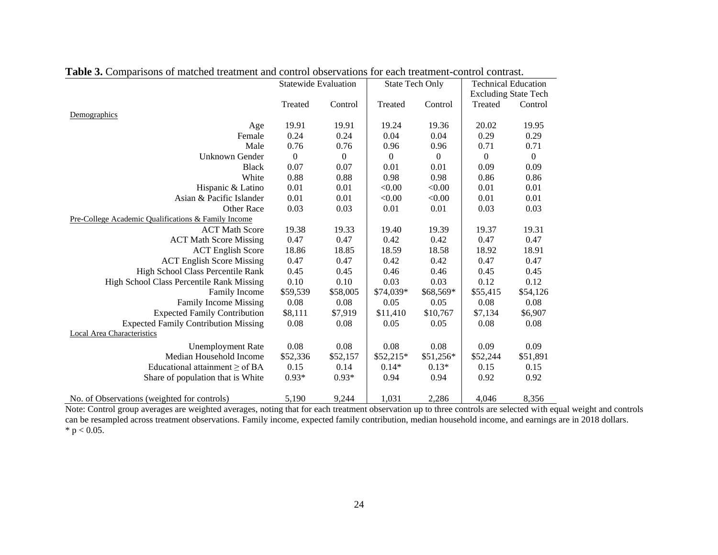|                                                     | <b>Statewide Evaluation</b> |                  | <b>State Tech Only</b> |           | <b>Technical Education</b>  |                  |
|-----------------------------------------------------|-----------------------------|------------------|------------------------|-----------|-----------------------------|------------------|
|                                                     |                             |                  |                        |           | <b>Excluding State Tech</b> |                  |
|                                                     | Treated                     | Control          | Treated                | Control   | Treated                     | Control          |
| Demographics                                        |                             |                  |                        |           |                             |                  |
| Age                                                 | 19.91                       | 19.91            | 19.24                  | 19.36     | 20.02                       | 19.95            |
| Female                                              | 0.24                        | 0.24             | 0.04                   | 0.04      | 0.29                        | 0.29             |
| Male                                                | 0.76                        | 0.76             | 0.96                   | 0.96      | 0.71                        | 0.71             |
| Unknown Gender                                      | $\boldsymbol{0}$            | $\boldsymbol{0}$ | $\overline{0}$         | $\theta$  | $\mathbf{0}$                | $\boldsymbol{0}$ |
| <b>Black</b>                                        | 0.07                        | 0.07             | 0.01                   | 0.01      | 0.09                        | 0.09             |
| White                                               | 0.88                        | 0.88             | 0.98                   | 0.98      | 0.86                        | 0.86             |
| Hispanic & Latino                                   | 0.01                        | 0.01             | < 0.00                 | < 0.00    | 0.01                        | 0.01             |
| Asian & Pacific Islander                            | 0.01                        | 0.01             | < 0.00                 | < 0.00    | 0.01                        | 0.01             |
| <b>Other Race</b>                                   | 0.03                        | 0.03             | 0.01                   | 0.01      | 0.03                        | 0.03             |
| Pre-College Academic Qualifications & Family Income |                             |                  |                        |           |                             |                  |
| <b>ACT Math Score</b>                               | 19.38                       | 19.33            | 19.40                  | 19.39     | 19.37                       | 19.31            |
| <b>ACT Math Score Missing</b>                       | 0.47                        | 0.47             | 0.42                   | 0.42      | 0.47                        | 0.47             |
| <b>ACT</b> English Score                            | 18.86                       | 18.85            | 18.59                  | 18.58     | 18.92                       | 18.91            |
| <b>ACT English Score Missing</b>                    | 0.47                        | 0.47             | 0.42                   | 0.42      | 0.47                        | 0.47             |
| High School Class Percentile Rank                   | 0.45                        | 0.45             | 0.46                   | 0.46      | 0.45                        | 0.45             |
| High School Class Percentile Rank Missing           | 0.10                        | 0.10             | 0.03                   | 0.03      | 0.12                        | 0.12             |
| Family Income                                       | \$59,539                    | \$58,005         | \$74,039*              | \$68,569* | \$55,415                    | \$54,126         |
| Family Income Missing                               | 0.08                        | 0.08             | 0.05                   | 0.05      | 0.08                        | 0.08             |
| <b>Expected Family Contribution</b>                 | \$8,111                     | \$7,919          | \$11,410               | \$10,767  | \$7,134                     | \$6,907          |
| <b>Expected Family Contribution Missing</b>         | 0.08                        | 0.08             | 0.05                   | 0.05      | 0.08                        | 0.08             |
| <b>Local Area Characteristics</b>                   |                             |                  |                        |           |                             |                  |
| <b>Unemployment Rate</b>                            | 0.08                        | 0.08             | 0.08                   | 0.08      | 0.09                        | 0.09             |
| Median Household Income                             | \$52,336                    | \$52,157         | \$52,215*              | \$51,256* | \$52,244                    | \$51,891         |
| Educational attainment $\geq$ of BA                 | 0.15                        | 0.14             | $0.14*$                | $0.13*$   | 0.15                        | 0.15             |
| Share of population that is White                   | $0.93*$                     | $0.93*$          | 0.94                   | 0.94      | 0.92                        | 0.92             |
|                                                     |                             |                  |                        |           |                             |                  |
| No. of Observations (weighted for controls)         | 5,190                       | 9,244            | 1,031                  | 2,286     | 4,046                       | 8,356            |

# **Table 3.** Comparisons of matched treatment and control observations for each treatment-control contrast.

Note: Control group averages are weighted averages, noting that for each treatment observation up to three controls are selected with equal weight and controls can be resampled across treatment observations. Family income, expected family contribution, median household income, and earnings are in 2018 dollars. \*  $p < 0.05$ .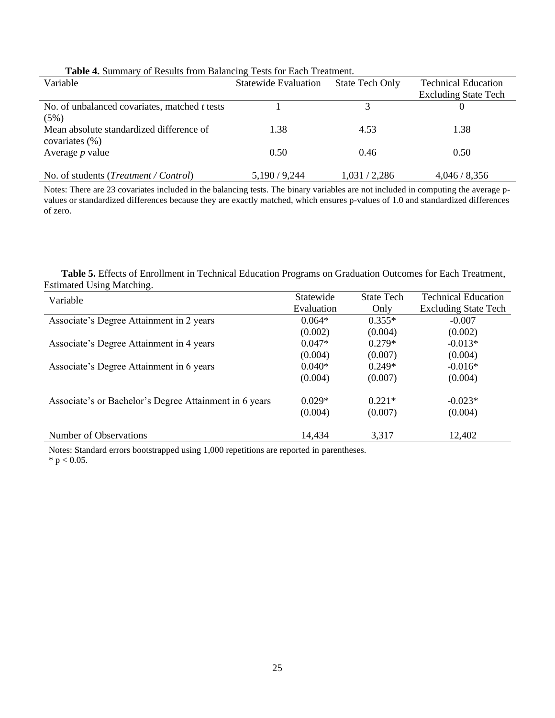| Variable                                             | <b>Statewide Evaluation</b> | <b>State Tech Only</b> | <b>Technical Education</b>  |
|------------------------------------------------------|-----------------------------|------------------------|-----------------------------|
|                                                      |                             |                        | <b>Excluding State Tech</b> |
| No. of unbalanced covariates, matched <i>t</i> tests |                             |                        |                             |
| (5%)                                                 |                             |                        |                             |
| Mean absolute standardized difference of             | 1.38                        | 4.53                   | 1.38                        |
| covariates $(\% )$                                   |                             |                        |                             |
| Average $p$ value                                    | 0.50                        | 0.46                   | 0.50                        |
|                                                      |                             |                        |                             |
| No. of students ( <i>Treatment</i> / Control)        | 5,190/9,244                 | 1,031/2,286            | 4,046/8,356                 |
|                                                      |                             |                        |                             |

#### **Table 4.** Summary of Results from Balancing Tests for Each Treatment.

Notes: There are 23 covariates included in the balancing tests. The binary variables are not included in computing the average pvalues or standardized differences because they are exactly matched, which ensures p-values of 1.0 and standardized differences of zero.

 **Table 5.** Effects of Enrollment in Technical Education Programs on Graduation Outcomes for Each Treatment, Estimated Using Matching.

| Variable                                               | Statewide  | <b>State Tech</b> | <b>Technical Education</b>  |
|--------------------------------------------------------|------------|-------------------|-----------------------------|
|                                                        | Evaluation | Only              | <b>Excluding State Tech</b> |
| Associate's Degree Attainment in 2 years               | $0.064*$   | $0.355*$          | $-0.007$                    |
|                                                        | (0.002)    | (0.004)           | (0.002)                     |
| Associate's Degree Attainment in 4 years               | $0.047*$   | $0.279*$          | $-0.013*$                   |
|                                                        | (0.004)    | (0.007)           | (0.004)                     |
| Associate's Degree Attainment in 6 years               | $0.040*$   | $0.249*$          | $-0.016*$                   |
|                                                        | (0.004)    | (0.007)           | (0.004)                     |
| Associate's or Bachelor's Degree Attainment in 6 years | $0.029*$   | $0.221*$          | $-0.023*$                   |
|                                                        | (0.004)    | (0.007)           | (0.004)                     |
| Number of Observations                                 | 14.434     | 3,317             | 12,402                      |

Notes: Standard errors bootstrapped using 1,000 repetitions are reported in parentheses.

 $*$  p < 0.05.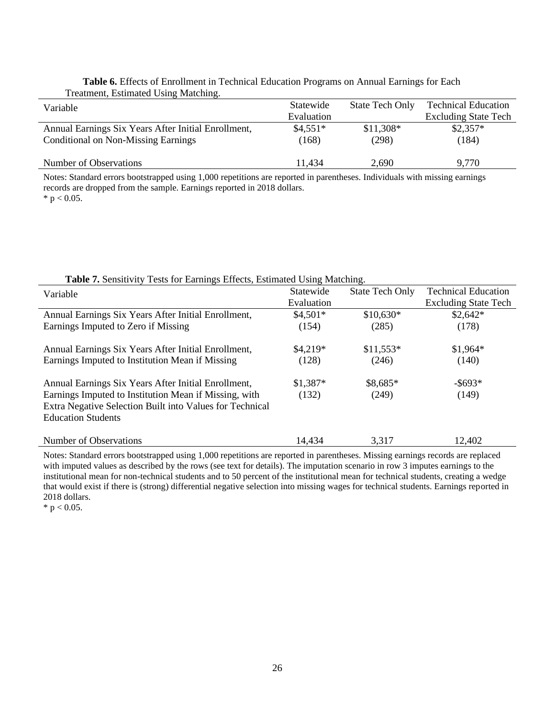| rreatment, Loumated Come matemme.                   |            |                        |                             |
|-----------------------------------------------------|------------|------------------------|-----------------------------|
| Variable                                            | Statewide  | <b>State Tech Only</b> | <b>Technical Education</b>  |
|                                                     | Evaluation |                        | <b>Excluding State Tech</b> |
| Annual Earnings Six Years After Initial Enrollment, | $$4,551*$  | $$11,308*$             | $$2,357*$                   |
| <b>Conditional on Non-Missing Earnings</b>          | (168)      | (298)                  | (184)                       |
|                                                     |            |                        |                             |
| Number of Observations                              | 11.434     | 2.690                  | 9,770                       |

#### **Table 6.** Effects of Enrollment in Technical Education Programs on Annual Earnings for Each Treatment, Estimated Using Matching.

Notes: Standard errors bootstrapped using 1,000 repetitions are reported in parentheses. Individuals with missing earnings records are dropped from the sample. Earnings reported in 2018 dollars.  $*$  p < 0.05.

| Variable                                                                                                                                                                                              | Statewide<br>Evaluation | <b>State Tech Only</b> | <b>Technical Education</b><br><b>Excluding State Tech</b> |
|-------------------------------------------------------------------------------------------------------------------------------------------------------------------------------------------------------|-------------------------|------------------------|-----------------------------------------------------------|
| Annual Earnings Six Years After Initial Enrollment,<br>Earnings Imputed to Zero if Missing                                                                                                            | $$4,501*$<br>(154)      | $$10,630*$<br>(285)    | $$2,642*$<br>(178)                                        |
| Annual Earnings Six Years After Initial Enrollment,<br>Earnings Imputed to Institution Mean if Missing                                                                                                | $$4,219*$<br>(128)      | $$11,553*$<br>(246)    | $$1,964*$<br>(140)                                        |
| Annual Earnings Six Years After Initial Enrollment,<br>Earnings Imputed to Institution Mean if Missing, with<br>Extra Negative Selection Built into Values for Technical<br><b>Education Students</b> | $$1,387*$<br>(132)      | \$8,685*<br>(249)      | $-$ \$693*<br>(149)                                       |
| Number of Observations                                                                                                                                                                                | 14.434                  | 3.317                  | 12,402                                                    |

**Table 7.** Sensitivity Tests for Earnings Effects, Estimated Using Matching.

Notes: Standard errors bootstrapped using 1,000 repetitions are reported in parentheses. Missing earnings records are replaced with imputed values as described by the rows (see text for details). The imputation scenario in row 3 imputes earnings to the institutional mean for non-technical students and to 50 percent of the institutional mean for technical students, creating a wedge that would exist if there is (strong) differential negative selection into missing wages for technical students. Earnings reported in 2018 dollars.

 $*$  p < 0.05.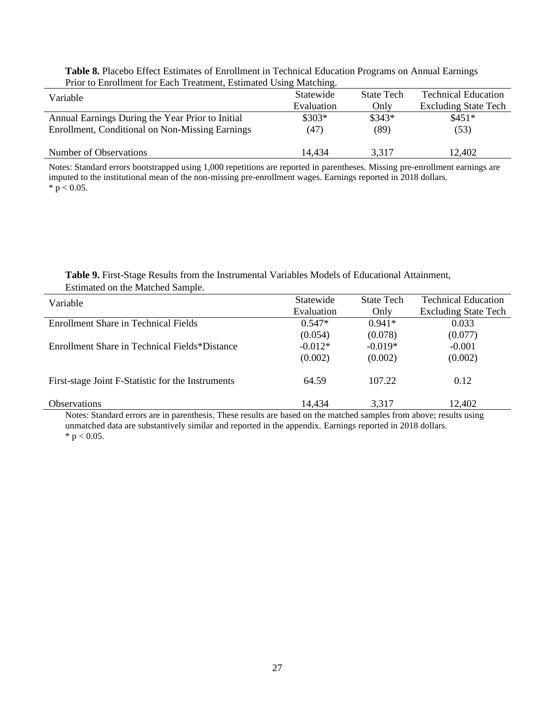| Table 8. Placebo Effect Estimates of Enrollment in Technical Education Programs on Annual Earnings |
|----------------------------------------------------------------------------------------------------|
| Prior to Enrollment for Each Treatment, Estimated Using Matching.                                  |

| Variable                                         | Statewide  | <b>State Tech</b> | <b>Technical Education</b>  |
|--------------------------------------------------|------------|-------------------|-----------------------------|
|                                                  | Evaluation | Onlv              | <b>Excluding State Tech</b> |
| Annual Earnings During the Year Prior to Initial | $$303*$    | $$343*$           | $$451*$                     |
| Enrollment, Conditional on Non-Missing Earnings  | (47)       | (89)              | (53)                        |
|                                                  |            |                   |                             |
| Number of Observations                           | 14,434     | 3,317             | 12,402                      |

Notes: Standard errors bootstrapped using 1,000 repetitions are reported in parentheses. Missing pre-enrollment earnings are imputed to the institutional mean of the non-missing pre-enrollment wages. Earnings reported in 2018 dollars.  $* p < 0.05.$ 

# **Table 9.** First-Stage Results from the Instrumental Variables Models of Educational Attainment, Estimated on the Matched Sample.

| Variable                                          | Statewide  | <b>State Tech</b> | <b>Technical Education</b>  |
|---------------------------------------------------|------------|-------------------|-----------------------------|
|                                                   | Evaluation | Only              | <b>Excluding State Tech</b> |
| Enrollment Share in Technical Fields              | $0.547*$   | $0.941*$          | 0.033                       |
|                                                   | (0.054)    | (0.078)           | (0.077)                     |
| Enrollment Share in Technical Fields*Distance     | $-0.012*$  | $-0.019*$         | $-0.001$                    |
|                                                   | (0.002)    | (0.002)           | (0.002)                     |
| First-stage Joint F-Statistic for the Instruments | 64.59      | 107.22            | 0.12                        |
| <b>Observations</b>                               | 14,434     | 3.317             | 12,402                      |

Notes: Standard errors are in parenthesis. These results are based on the matched samples from above; results using unmatched data are substantively similar and reported in the appendix. Earnings reported in 2018 dollars. \*  $p < 0.05$ .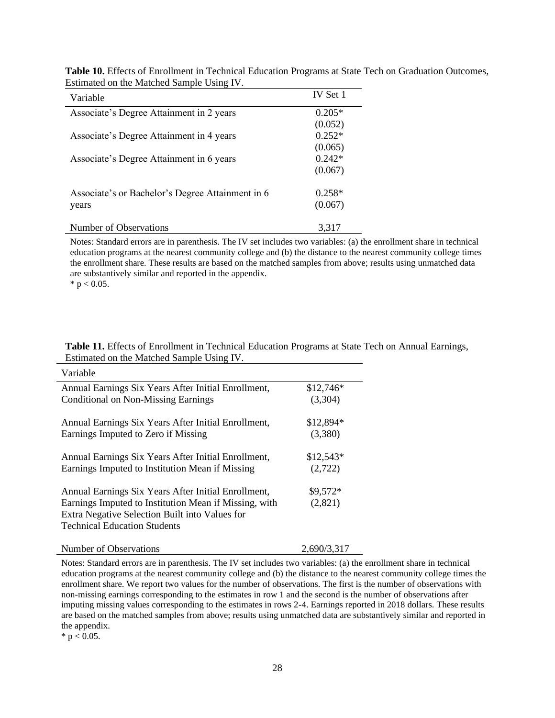| Variable                                         | IV Set 1 |
|--------------------------------------------------|----------|
| Associate's Degree Attainment in 2 years         | $0.205*$ |
|                                                  | (0.052)  |
| Associate's Degree Attainment in 4 years         | $0.252*$ |
|                                                  | (0.065)  |
| Associate's Degree Attainment in 6 years         | $0.242*$ |
|                                                  | (0.067)  |
| Associate's or Bachelor's Degree Attainment in 6 | $0.258*$ |
| years                                            | (0.067)  |
| Number of Observations                           | 3,317    |

**Table 10.** Effects of Enrollment in Technical Education Programs at State Tech on Graduation Outcomes, Estimated on the Matched Sample Using IV.

Notes: Standard errors are in parenthesis. The IV set includes two variables: (a) the enrollment share in technical education programs at the nearest community college and (b) the distance to the nearest community college times the enrollment share. These results are based on the matched samples from above; results using unmatched data are substantively similar and reported in the appendix.

 $*$  p < 0.05.

|                                           | <b>Table 11.</b> Effects of Enrollment in Technical Education Programs at State Tech on Annual Earnings, |
|-------------------------------------------|----------------------------------------------------------------------------------------------------------|
| Estimated on the Matched Sample Using IV. |                                                                                                          |

| Variable                                                                                                |             |
|---------------------------------------------------------------------------------------------------------|-------------|
| Annual Earnings Six Years After Initial Enrollment,                                                     | $$12,746*$  |
| <b>Conditional on Non-Missing Earnings</b>                                                              | (3,304)     |
| Annual Earnings Six Years After Initial Enrollment,                                                     | $$12,894*$  |
| Earnings Imputed to Zero if Missing                                                                     | (3,380)     |
| Annual Earnings Six Years After Initial Enrollment,                                                     | $$12,543*$  |
| Earnings Imputed to Institution Mean if Missing                                                         | (2,722)     |
| Annual Earnings Six Years After Initial Enrollment,                                                     | \$9,572*    |
| Earnings Imputed to Institution Mean if Missing, with<br>Extra Negative Selection Built into Values for | (2,821)     |
| <b>Technical Education Students</b>                                                                     |             |
| Number of Observations                                                                                  | 2.690/3.317 |

Notes: Standard errors are in parenthesis. The IV set includes two variables: (a) the enrollment share in technical education programs at the nearest community college and (b) the distance to the nearest community college times the enrollment share. We report two values for the number of observations. The first is the number of observations with non-missing earnings corresponding to the estimates in row 1 and the second is the number of observations after imputing missing values corresponding to the estimates in rows 2-4. Earnings reported in 2018 dollars. These results are based on the matched samples from above; results using unmatched data are substantively similar and reported in the appendix.

 $* p < 0.05$ .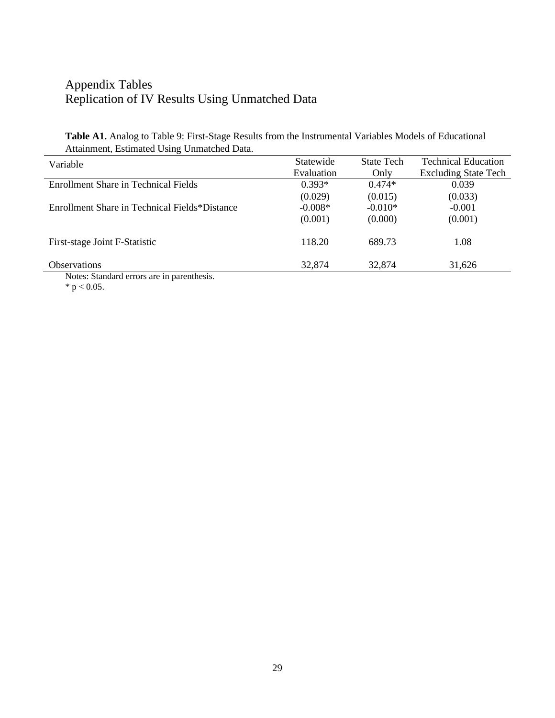# Appendix Tables Replication of IV Results Using Unmatched Data

**Table A1.** Analog to Table 9: First-Stage Results from the Instrumental Variables Models of Educational Attainment, Estimated Using Unmatched Data.

| Variable                                      | Statewide  | <b>State Tech</b> | <b>Technical Education</b>  |
|-----------------------------------------------|------------|-------------------|-----------------------------|
|                                               | Evaluation | Only              | <b>Excluding State Tech</b> |
| Enrollment Share in Technical Fields          | $0.393*$   | $0.474*$          | 0.039                       |
|                                               | (0.029)    | (0.015)           | (0.033)                     |
| Enrollment Share in Technical Fields*Distance | $-0.008*$  | $-0.010*$         | $-0.001$                    |
|                                               | (0.001)    | (0.000)           | (0.001)                     |
| First-stage Joint F-Statistic                 | 118.20     | 689.73            | 1.08                        |
| <b>Observations</b>                           | 32,874     | 32,874            | 31,626                      |
| Motor: Standard arrors are in paranthosis     |            |                   |                             |

Notes: Standard errors are in parenthesis. \*  $p < 0.05$ .